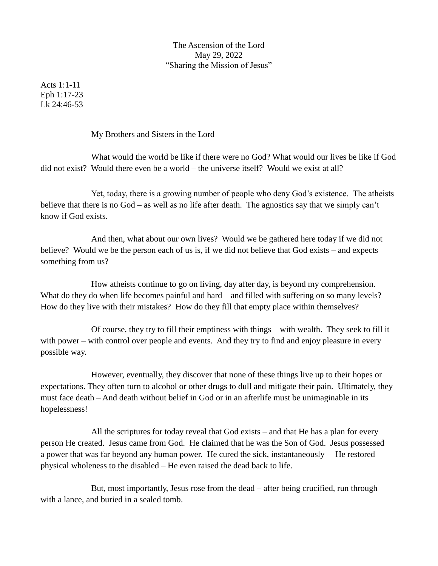The Ascension of the Lord May 29, 2022 "Sharing the Mission of Jesus"

Acts 1:1-11 Eph 1:17-23 Lk 24:46-53

My Brothers and Sisters in the Lord –

What would the world be like if there were no God? What would our lives be like if God did not exist? Would there even be a world – the universe itself? Would we exist at all?

Yet, today, there is a growing number of people who deny God's existence. The atheists believe that there is no God – as well as no life after death. The agnostics say that we simply can't know if God exists.

And then, what about our own lives? Would we be gathered here today if we did not believe? Would we be the person each of us is, if we did not believe that God exists – and expects something from us?

How atheists continue to go on living, day after day, is beyond my comprehension. What do they do when life becomes painful and hard – and filled with suffering on so many levels? How do they live with their mistakes? How do they fill that empty place within themselves?

Of course, they try to fill their emptiness with things – with wealth. They seek to fill it with power – with control over people and events. And they try to find and enjoy pleasure in every possible way.

However, eventually, they discover that none of these things live up to their hopes or expectations. They often turn to alcohol or other drugs to dull and mitigate their pain. Ultimately, they must face death – And death without belief in God or in an afterlife must be unimaginable in its hopelessness!

All the scriptures for today reveal that God exists – and that He has a plan for every person He created. Jesus came from God. He claimed that he was the Son of God. Jesus possessed a power that was far beyond any human power. He cured the sick, instantaneously – He restored physical wholeness to the disabled – He even raised the dead back to life.

But, most importantly, Jesus rose from the dead – after being crucified, run through with a lance, and buried in a sealed tomb.